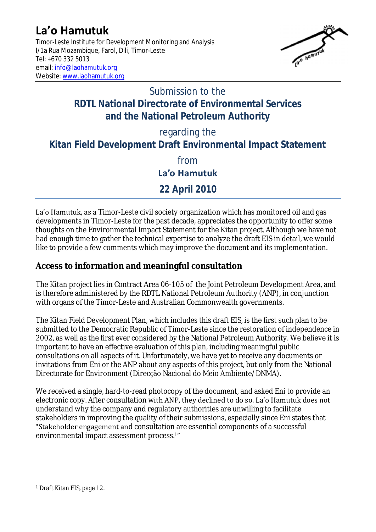# **La'o Hamutuk**

Timor-Leste Institute for Development Monitoring and Analysis I/1a Rua Mozambique, Farol, Dili, Timor-Leste Tel: +670 332 5013 email[: info@laohamutuk.org](mailto:info@laohamutuk.org) Website: [www.laohamutuk.org](http://www.laohamutuk.org/)



## Submission to the **RDTL National Directorate of Environmental Services and the National Petroleum Authority**

regarding the

**Kitan Field Development Draft Environmental Impact Statement**

from

**La'o Hamutuk**

**22 April 2010**

La'o Hamutuk, as a Timor-Leste civil society organization which has monitored oil and gas developments in Timor-Leste for the past decade, appreciates the opportunity to offer some thoughts on the Environmental Impact Statement for the Kitan project. Although we have not had enough time to gather the technical expertise to analyze the draft EIS in detail, we would like to provide a few comments which may improve the document and its implementation.

**Access to information and meaningful consultation**

The Kitan project lies in Contract Area 06-105 of the Joint Petroleum Development Area, and is therefore administered by the RDTL National Petroleum Authority (ANP), in conjunction with organs of the Timor-Leste and Australian Commonwealth governments.

The Kitan Field Development Plan, which includes this draft EIS, is the first such plan to be submitted to the Democratic Republic of Timor-Leste since the restoration of independence in 2002, as well as the first ever considered by the National Petroleum Authority. We believe it is important to have an effective evaluation of this plan, including meaningful public consultations on all aspects of it. Unfortunately, we have yet to receive any documents or invitations from Eni or the ANP about any aspects of this project, but only from the National Directorate for Environment (Direcção Nacional do Meio Ambiente/DNMA).

We received a single, hard-to-read photocopy of the document, and asked Eni to provide an electronic copy. After consultation with ANP, they declined to do so. La'o Hamutuk does not understand why the company and regulatory authorities are unwilling to facilitate stakeholders in improving the quality of their submissions, especially since Eni states that "Stakeholder engagement and consultation are essential components of a successful environmental impact assessment process.1"

 $\overline{a}$ 

<sup>1</sup> Draft Kitan EIS, page 12.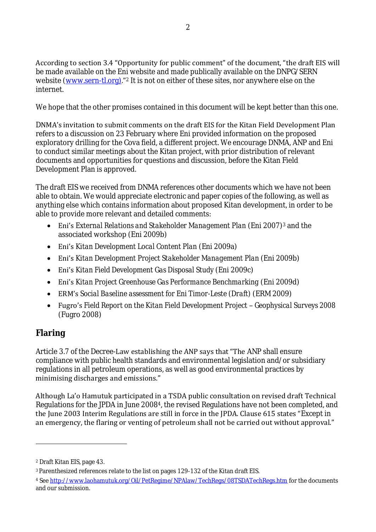According to section 3.4 "Opportunity for public comment" of the document, "the draft EIS will be made available on the Eni website and made publically available on the DNPG/SERN website [\(www.sern-tl.org\)](http://www.sern-tl.org)/)."<sup>2</sup> It is not on either of these sites, nor anywhere else on the internet.

We hope that the other promises contained in this document will be kept better than this one.

DNMA's invitation to submit comments on the draft EIS for the Kitan Field Development Plan refers to a discussion on 23 February where Eni provided information on the proposed exploratory drilling for the Cova field, a different project. We encourage DNMA, ANP and Eni to conduct similar meetings about the Kitan project, with prior distribution of relevant documents and opportunities for questions and discussion, before the Kitan Field Development Plan is approved.

The draft EIS we received from DNMA references other documents which we have not been able to obtain. We would appreciate electronic and paper copies of the following, as well as anything else which contains information about proposed Kitan development, in order to be able to provide more relevant and detailed comments:

- Eni's *External Relations and Stakeholder Management Plan* (Eni 2007)<sup>3</sup> and the associated workshop (Eni 2009b)
- Eni's *Kitan Development Local Content Plan* (Eni 2009a)
- Eni's *Kitan Development Project Stakeholder Management Plan* (Eni 2009b)
- Eni's *Kitan Field Development Gas Disposal Study* (Eni 2009c)
- Eni's *Kitan Project Greenhouse Gas Performance Benchmarking* (Eni 2009d)
- ERM's *Social Baseline assessment for Eni Timor-Leste (Draft)* (ERM 2009)
- Fugro's Field Report on the Kitan Field Development Project Geophysical Surveys 2008 (Fugro 2008)

### **Flaring**

 $\overline{a}$ 

Article 3.7 of the Decree-Law establishing the ANP says that "The ANP shall ensure compliance with public health standards and environmental legislation and/or subsidiary regulations in all petroleum operations, as well as good environmental practices by minimising discharges and emissions."

Although La'o Hamutuk participated in a TSDA public consultation on revised draft Technical Regulations for the JPDA in June 20084, the revised Regulations have not been completed, and the June 2003 Interim Regulations are still in force in the JPDA. Clause 615 states "Except in an emergency, the flaring or venting of petroleum shall not be carried out without approval."

<sup>2</sup> Draft Kitan EIS, page 43.

<sup>3</sup> Parenthesized references relate to the list on pages 129-132 of the Kitan draft EIS.

<sup>4</sup> Se[e http://www.laohamutuk.org/Oil/PetRegime/NPAlaw/TechRegs/08TSDATechRegs.htm](http://www.laohamutuk.org/Oil/PetRegime/NPAlaw/TechRegs/08TSDATechRegs.htm) for the documents and our submission.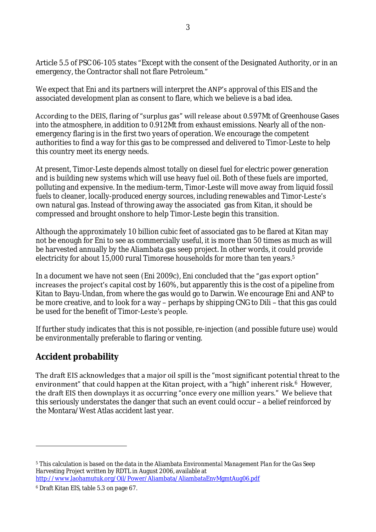Article 5.5 of PSC 06-105 states "Except with the consent of the Designated Authority, or in an emergency, the Contractor shall not flare Petroleum."

We expect that Eni and its partners will interpret the ANP's approval of this EIS and the associated development plan as consent to flare, which we believe is a bad idea.

According to the DEIS, flaring of "surplus gas" will release about 0.597Mt of Greenhouse Gases into the atmosphere, in addition to 0.912Mt from exhaust emissions. Nearly all of the nonemergency flaring is in the first two years of operation. We encourage the competent authorities to find a way for this gas to be compressed and delivered to Timor-Leste to help this country meet its energy needs.

At present, Timor-Leste depends almost totally on diesel fuel for electric power generation and is building new systems which will use heavy fuel oil. Both of these fuels are imported, polluting and expensive. In the medium-term, Timor-Leste will move away from liquid fossil fuels to cleaner, locally-produced energy sources, including renewables and Timor-Leste's own natural gas. Instead of throwing away the associated gas from Kitan, it should be compressed and brought onshore to help Timor-Leste begin this transition.

Although the approximately 10 billion cubic feet of associated gas to be flared at Kitan may not be enough for Eni to see as commercially useful, it is more than 50 times as much as will be harvested annually by the Aliambata gas seep project. In other words, it could provide electricity for about 15,000 rural Timorese households for more than ten years.<sup>5</sup>

In a document we have not seen (Eni 2009c), Eni concluded that the "gas export option" increases the project's capital cost by 160%, but apparently this is the cost of a pipeline from Kitan to Bayu-Undan, from where the gas would go to Darwin. We encourage Eni and ANP to be more creative, and to look for a way – perhaps by shipping CNG to Dili – that this gas could be used for the benefit of Timor-Leste's people.

If further study indicates that this is not possible, re-injection (and possible future use) would be environmentally preferable to flaring or venting.

#### **Accident probability**

The draft EIS acknowledges that a major oil spill is the "most significant potential threat to the environment" that could happen at the Kitan project, with a "high" inherent risk. $6$  However, the draft EIS then downplays it as occurring "once every one million years." We believe that this seriously understates the danger that such an event could occur – a belief reinforced by the Montara/West Atlas accident last year.

 $\overline{a}$ 

<sup>5</sup> This calculation is based on the data in the Aliambata *Environmental Management Plan for the Gas Seep Harvesting Project* written by RDTL in August 2006, available at <http://www.laohamutuk.org/Oil/Power/Aliambata/AliambataEnvMgmtAug06.pdf>

<sup>6</sup> Draft Kitan EIS, table 5.3 on page 67.